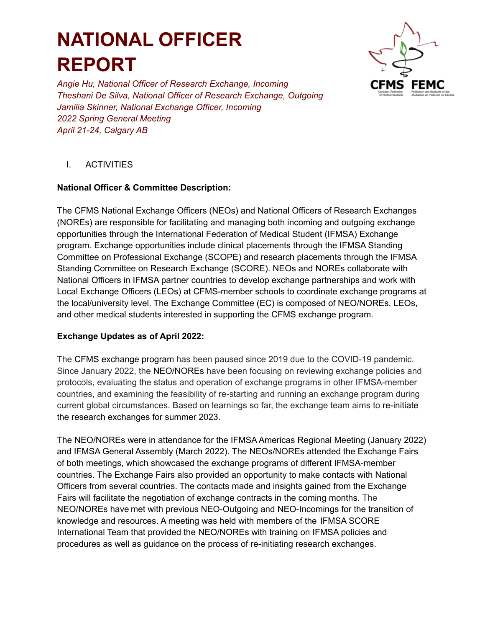# **NATIONAL OFFICER REPORT**



*Angie Hu, National Officer of Research Exchange, Incoming Theshani De Silva, National Officer of Research Exchange, Outgoing Jamilia Skinner, National Exchange Officer, Incoming 2022 Spring General Meeting April 21-24, Calgary AB*

## I. ACTIVITIES

## **National Officer & Committee Description:**

The CFMS National Exchange Officers (NEOs) and National Officers of Research Exchanges (NOREs) are responsible for facilitating and managing both incoming and outgoing exchange opportunities through the International Federation of Medical Student (IFMSA) Exchange program. Exchange opportunities include clinical placements through the IFMSA Standing Committee on Professional Exchange (SCOPE) and research placements through the IFMSA Standing Committee on Research Exchange (SCORE). NEOs and NOREs collaborate with National Officers in IFMSA partner countries to develop exchange partnerships and work with Local Exchange Officers (LEOs) at CFMS-member schools to coordinate exchange programs at the local/university level. The Exchange Committee (EC) is composed of NEO/NOREs, LEOs, and other medical students interested in supporting the CFMS exchange program.

### **Exchange Updates as of April 2022:**

The CFMS exchange program has been paused since 2019 due to the COVID-19 pandemic. Since January 2022, the NEO/NOREs have been focusing on reviewing exchange policies and protocols, evaluating the status and operation of exchange programs in other IFMSA-member countries, and examining the feasibility of re-starting and running an exchange program during current global circumstances. Based on learnings so far, the exchange team aims to re-initiate the research exchanges for summer 2023.

The NEO/NOREs were in attendance for the IFMSA Americas Regional Meeting (January 2022) and IFMSA General Assembly (March 2022). The NEOs/NOREs attended the Exchange Fairs of both meetings, which showcased the exchange programs of different IFMSA-member countries. The Exchange Fairs also provided an opportunity to make contacts with National Officers from several countries. The contacts made and insights gained from the Exchange Fairs will facilitate the negotiation of exchange contracts in the coming months. The NEO/NOREs have met with previous NEO-Outgoing and NEO-Incomings for the transition of knowledge and resources. A meeting was held with members of the IFMSA SCORE International Team that provided the NEO/NOREs with training on IFMSA policies and procedures as well as guidance on the process of re-initiating research exchanges.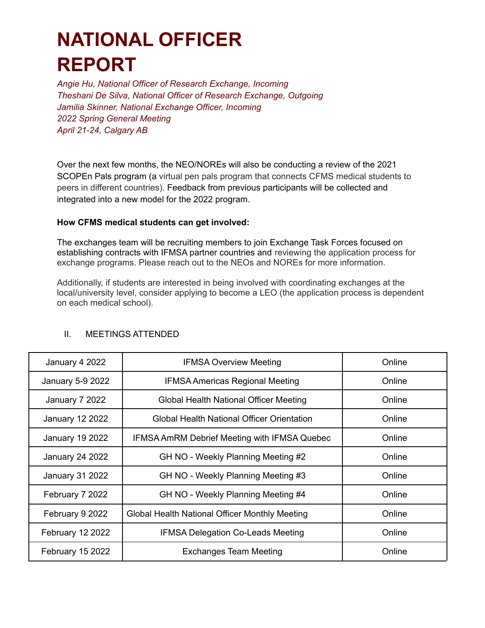## **NATIONAL OFFICER REPORT**

*Angie Hu, National Officer of Research Exchange, Incoming Theshani De Silva, National Officer of Research Exchange, Outgoing Jamilia Skinner, National Exchange Officer, Incoming 2022 Spring General Meeting April 21-24, Calgary AB*

Over the next few months, the NEO/NOREs will also be conducting a review of the 2021 SCOPEn Pals program (a virtual pen pals program that connects CFMS medical students to peers in different countries). Feedback from previous participants will be collected and integrated into a new model for the 2022 program.

#### **How CFMS medical students can get involved:**

The exchanges team will be recruiting members to join Exchange Task Forces focused on establishing contracts with IFMSA partner countries and reviewing the application process for exchange programs. Please reach out to the NEOs and NOREs for more information.

Additionally, if students are interested in being involved with coordinating exchanges at the local/university level, consider applying to become a LEO (the application process is dependent on each medical school).

| January 4 2022         | <b>IFMSA Overview Meeting</b>                       | Online |
|------------------------|-----------------------------------------------------|--------|
| January 5-9 2022       | <b>IFMSA Americas Regional Meeting</b>              | Online |
| January 7 2022         | Global Health National Officer Meeting              | Online |
| <b>January 12 2022</b> | Global Health National Officer Orientation          | Online |
| <b>January 19 2022</b> | <b>IFMSA AmRM Debrief Meeting with IFMSA Quebec</b> | Online |
| <b>January 24 2022</b> | GH NO - Weekly Planning Meeting #2                  | Online |
| <b>January 31 2022</b> | GH NO - Weekly Planning Meeting #3                  | Online |
| February 7 2022        | GH NO - Weekly Planning Meeting #4                  | Online |
| February 9 2022        | Global Health National Officer Monthly Meeting      | Online |
| February 12 2022       | <b>IFMSA Delegation Co-Leads Meeting</b>            | Online |
| February 15 2022       | <b>Exchanges Team Meeting</b>                       | Online |

#### II. MEETINGS ATTENDED